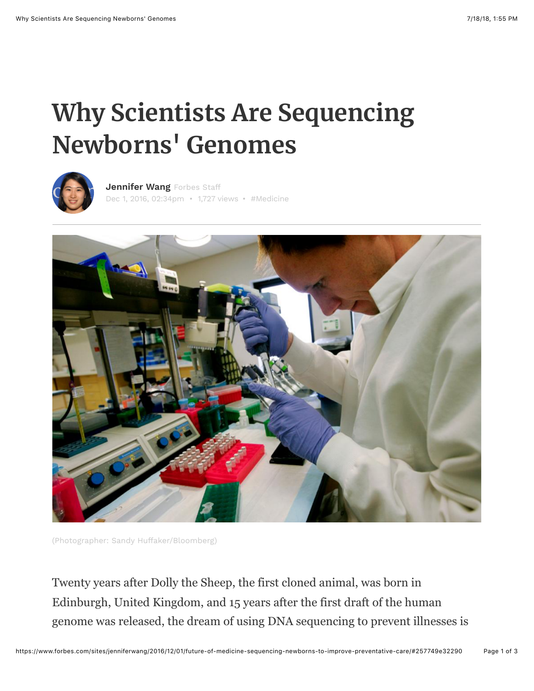## **Why Scientists Are Sequencing Newborns' Genomes**



Dec 1, 2016, 02:34pm • 1,727 views • [#Medicine](https://www.forbes.com/search/?substream=hashtags&q=Medicine) **[Jennifer Wang](https://www.forbes.com/sites/jenniferwang/)** Forbes Staff



(Photographer: Sandy Huffaker/Bloomberg)

Twenty years after Dolly the Sheep, the first cloned animal, was born in Edinburgh, United Kingdom, and 15 years after the first draft of the human genome was released, the dream of using DNA sequencing to prevent illnesses is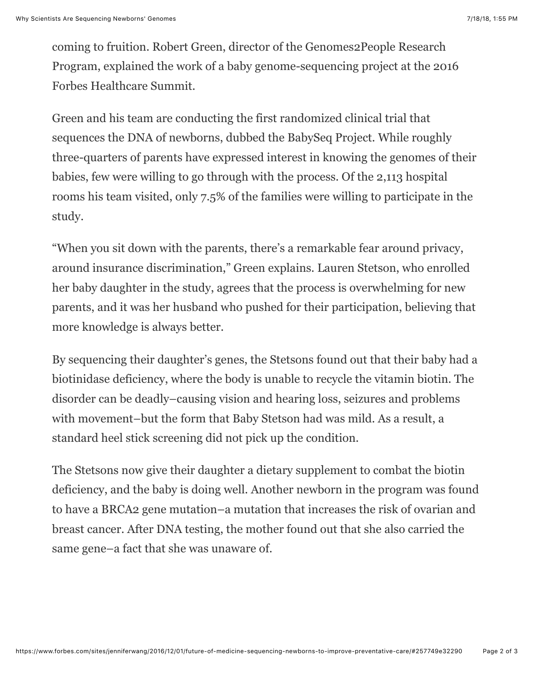coming to fruition. Robert Green, director of the Genomes2People Research Program, explained the work of a baby genome-sequencing project at the 2016 Forbes Healthcare Summit.

Green and his team are conducting the first randomized clinical trial that sequences the DNA of newborns, dubbed the BabySeq Project. While roughly three-quarters of parents have expressed interest in knowing the genomes of their babies, few were willing to go through with the process. Of the 2,113 hospital rooms his team visited, only 7.5% of the families were willing to participate in the study.

"When you sit down with the parents, there's a remarkable fear around privacy, around insurance discrimination," Green explains. Lauren Stetson, who enrolled her baby daughter in the study, agrees that the process is overwhelming for new parents, and it was her husband who pushed for their participation, believing that more knowledge is always better.

By sequencing their daughter's genes, the Stetsons found out that their baby had a biotinidase deficiency, where the body is unable to recycle the vitamin biotin. The disorder can be deadly–causing vision and hearing loss, seizures and problems with movement–but the form that Baby Stetson had was mild. As a result, a standard heel stick screening did not pick up the condition.

The Stetsons now give their daughter a dietary supplement to combat the biotin deficiency, and the baby is doing well. Another newborn in the program was found to have a BRCA2 gene mutation–a mutation that increases the risk of ovarian and breast cancer. After DNA testing, the mother found out that she also carried the same gene–a fact that she was unaware of.